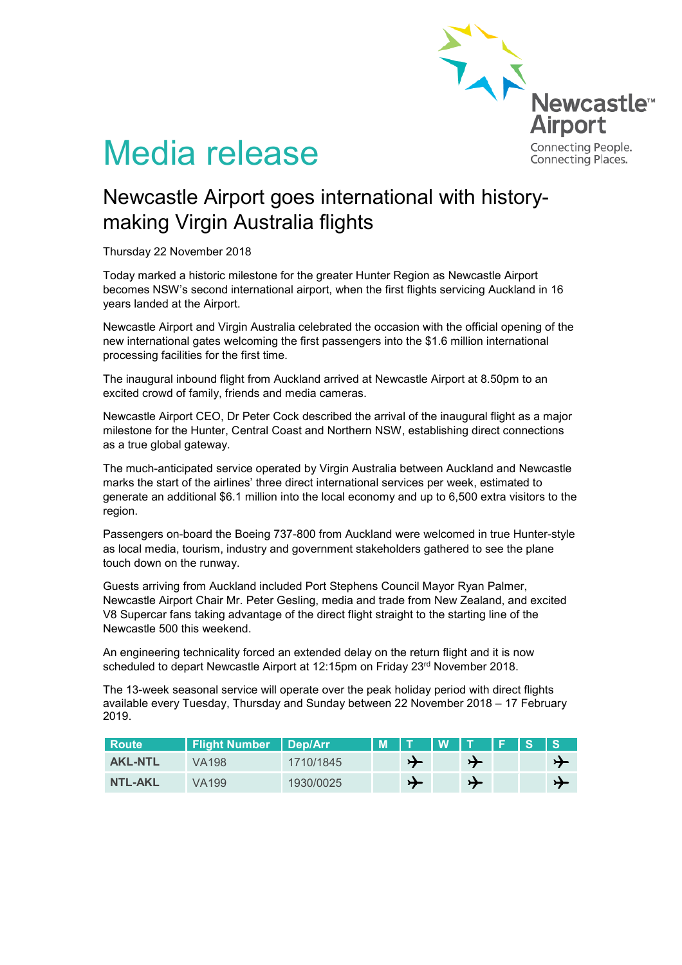

# Media release

# Newcastle Airport goes international with historymaking Virgin Australia flights

Thursday 22 November 2018

Today marked a historic milestone for the greater Hunter Region as Newcastle Airport becomes NSW's second international airport, when the first flights servicing Auckland in 16 years landed at the Airport.

Newcastle Airport and Virgin Australia celebrated the occasion with the official opening of the new international gates welcoming the first passengers into the \$1.6 million international processing facilities for the first time.

The inaugural inbound flight from Auckland arrived at Newcastle Airport at 8.50pm to an excited crowd of family, friends and media cameras.

Newcastle Airport CEO, Dr Peter Cock described the arrival of the inaugural flight as a major milestone for the Hunter, Central Coast and Northern NSW, establishing direct connections as a true global gateway.

The much-anticipated service operated by Virgin Australia between Auckland and Newcastle marks the start of the airlines' three direct international services per week, estimated to generate an additional \$6.1 million into the local economy and up to 6,500 extra visitors to the region.

Passengers on-board the Boeing 737-800 from Auckland were welcomed in true Hunter-style as local media, tourism, industry and government stakeholders gathered to see the plane touch down on the runway.

Guests arriving from Auckland included Port Stephens Council Mayor Ryan Palmer, Newcastle Airport Chair Mr. Peter Gesling, media and trade from New Zealand, and excited V8 Supercar fans taking advantage of the direct flight straight to the starting line of the Newcastle 500 this weekend.

An engineering technicality forced an extended delay on the return flight and it is now scheduled to depart Newcastle Airport at 12:15pm on Friday 23<sup>rd</sup> November 2018.

The 13-week seasonal service will operate over the peak holiday period with direct flights available every Tuesday, Thursday and Sunday between 22 November 2018 – 17 February 2019.

| Route          | <b>Flight Number   Dep/Arr</b> |           | IM IT |               | <b>TW TA</b> |               | $F$ is |               |
|----------------|--------------------------------|-----------|-------|---------------|--------------|---------------|--------|---------------|
| <b>AKL-NTL</b> | VA198                          | 1710/1845 |       | $\rightarrow$ |              |               |        |               |
| <b>NTL-AKL</b> | VA199                          | 1930/0025 |       | $\rightarrow$ |              | $\rightarrow$ |        | $\rightarrow$ |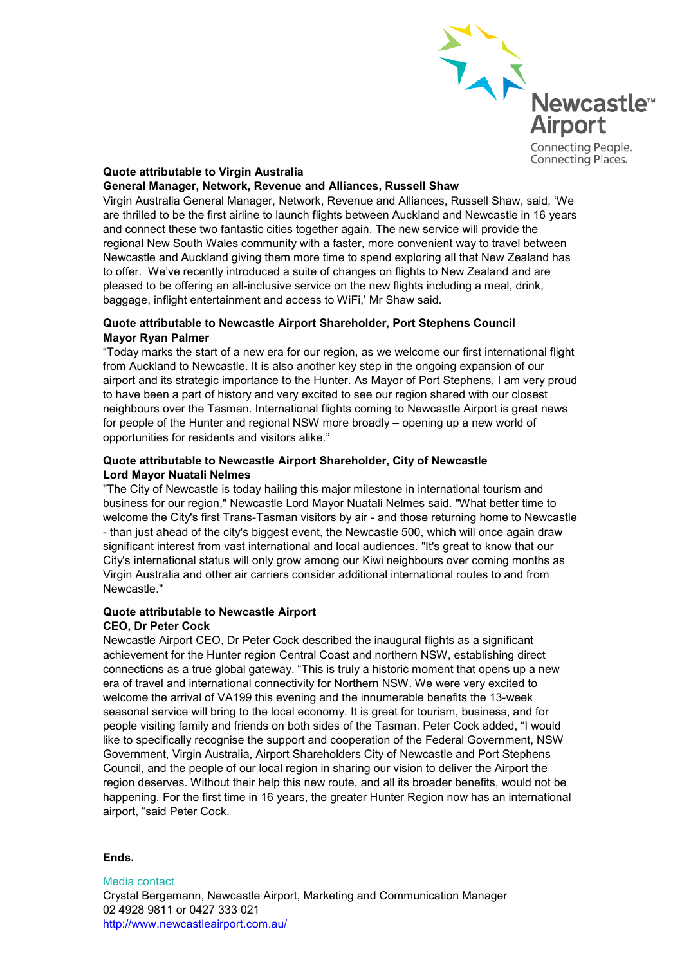

# **Quote attributable to Virgin Australia**

#### **General Manager, Network, Revenue and Alliances, Russell Shaw**

Virgin Australia General Manager, Network, Revenue and Alliances, Russell Shaw, said, 'We are thrilled to be the first airline to launch flights between Auckland and Newcastle in 16 years and connect these two fantastic cities together again. The new service will provide the regional New South Wales community with a faster, more convenient way to travel between Newcastle and Auckland giving them more time to spend exploring all that New Zealand has to offer. We've recently introduced a suite of changes on flights to New Zealand and are pleased to be offering an all-inclusive service on the new flights including a meal, drink, baggage, inflight entertainment and access to WiFi,' Mr Shaw said.

## **Quote attributable to Newcastle Airport Shareholder, Port Stephens Council Mayor Ryan Palmer**

"Today marks the start of a new era for our region, as we welcome our first international flight from Auckland to Newcastle. It is also another key step in the ongoing expansion of our airport and its strategic importance to the Hunter. As Mayor of Port Stephens, I am very proud to have been a part of history and very excited to see our region shared with our closest neighbours over the Tasman. International flights coming to Newcastle Airport is great news for people of the Hunter and regional NSW more broadly – opening up a new world of opportunities for residents and visitors alike."

#### **Quote attributable to Newcastle Airport Shareholder, City of Newcastle Lord Mayor Nuatali Nelmes**

"The City of Newcastle is today hailing this major milestone in international tourism and business for our region," Newcastle Lord Mayor Nuatali Nelmes said. "What better time to welcome the City's first Trans-Tasman visitors by air - and those returning home to Newcastle - than just ahead of the city's biggest event, the Newcastle 500, which will once again draw significant interest from vast international and local audiences. "It's great to know that our City's international status will only grow among our Kiwi neighbours over coming months as Virgin Australia and other air carriers consider additional international routes to and from Newcastle."

## **Quote attributable to Newcastle Airport CEO, Dr Peter Cock**

Newcastle Airport CEO, Dr Peter Cock described the inaugural flights as a significant achievement for the Hunter region Central Coast and northern NSW, establishing direct connections as a true global gateway. "This is truly a historic moment that opens up a new era of travel and international connectivity for Northern NSW. We were very excited to welcome the arrival of VA199 this evening and the innumerable benefits the 13-week seasonal service will bring to the local economy. It is great for tourism, business, and for people visiting family and friends on both sides of the Tasman. Peter Cock added, "I would like to specifically recognise the support and cooperation of the Federal Government, NSW Government, Virgin Australia, Airport Shareholders City of Newcastle and Port Stephens Council, and the people of our local region in sharing our vision to deliver the Airport the region deserves. Without their help this new route, and all its broader benefits, would not be happening. For the first time in 16 years, the greater Hunter Region now has an international airport, "said Peter Cock.

## **Ends.**

Media contact Crystal Bergemann, Newcastle Airport, Marketing and Communication Manager 02 4928 9811 or 0427 333 021 <http://www.newcastleairport.com.au/>